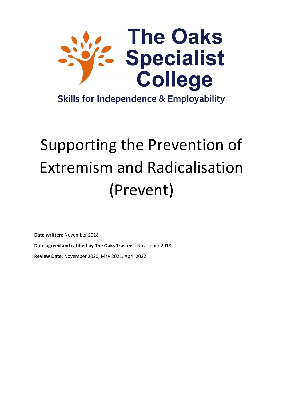

# **Skills for Independence & Employability**

# Supporting the Prevention of Extremism and Radicalisation (Prevent)

**Date written:** November 2018

**Date agreed and ratified by The Oaks Trustees:** November 2018

**Review Date**: November 2020, May 2021, April 2022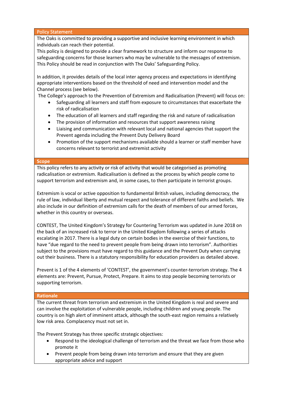Policy Statement

The Oaks is committed to providing a supportive and inclusive learning environment in which individuals can reach their potential.

This policy is designed to provide a clear framework to structure and inform our response to safeguarding concerns for those learners who may be vulnerable to the messages of extremism. This Policy should be read in conjunction with The Oaks' Safeguarding Policy.

In addition, it provides details of the local inter agency process and expectations in identifying appropriate interventions based on the threshold of need and intervention model and the Channel process (see below).

The College's approach to the Prevention of Extremism and Radicalisation (Prevent) will focus on:

- Safeguarding all learners and staff from exposure to circumstances that exacerbate the risk of radicalisation
- The education of all learners and staff regarding the risk and nature of radicalisation
- The provision of information and resources that support awareness raising
- Liaising and communication with relevant local and national agencies that support the Prevent agenda including the Prevent Duty Delivery Board
- Promotion of the support mechanisms available should a learner or staff member have concerns relevant to terrorist and extremist activity

#### **Scope**

This policy refers to any activity or risk of activity that would be categorised as promoting radicalisation or extremism. Radicalisation is defined as the process by which people come to support terrorism and extremism and, in some cases, to then participate in terrorist groups.

Extremism is vocal or active opposition to fundamental British values, including democracy, the rule of law, individual liberty and mutual respect and tolerance of different faiths and beliefs. We also include in our definition of extremism calls for the death of members of our armed forces, whether in this country or overseas.

CONTEST, The United Kingdom's Strategy for Countering Terrorism was updated in June 2018 on the back of an increased risk to terror in the United Kingdom following a series of attacks escalating in 2017. There is a legal duty on certain bodies in the exercise of their functions, to have "due regard to the need to prevent people from being drawn into terrorism". Authorities subject to the provisions must have regard to this guidance and the Prevent Duty when carrying out their business. There is a statutory responsibility for education providers as detailed above.

Prevent is 1 of the 4 elements of 'CONTEST', the government's counter-terrorism strategy. The 4 elements are: Prevent, Pursue, Protect, Prepare. It aims to stop people becoming terrorists or supporting terrorism.

# **Rationale**

The current threat from terrorism and extremism in the United Kingdom is real and severe and can involve the exploitation of vulnerable people, including children and young people. The country is on high alert of imminent attack, although the south-east region remains a relatively low risk area. Complacency must not set in.

The Prevent Strategy has three specific strategic objectives:

- Respond to the ideological challenge of terrorism and the threat we face from those who promote it
- Prevent people from being drawn into terrorism and ensure that they are given appropriate advice and support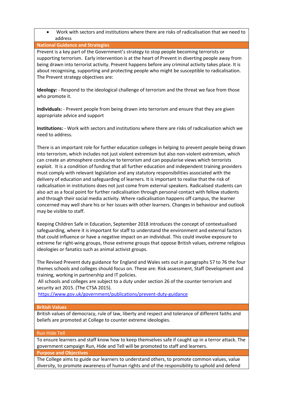• Work with sectors and institutions where there are risks of radicalisation that we need to address

# **National Guidance and Strategies**

Prevent is a key part of the Government's strategy to stop people becoming terrorists or supporting terrorism. Early intervention is at the heart of Prevent in diverting people away from being drawn into terrorist activity. Prevent happens before any criminal activity takes place. It is about recognising, supporting and protecting people who might be susceptible to radicalisation. The Prevent strategy objectives are:

**Ideology:** - Respond to the ideological challenge of terrorism and the threat we face from those who promote it.

**Individuals:** - Prevent people from being drawn into terrorism and ensure that they are given appropriate advice and support

**Institutions:** - Work with sectors and institutions where there are risks of radicalisation which we need to address.

There is an important role for further education colleges in helping to prevent people being drawn into terrorism, which includes not just violent extremism but also non-violent extremism, which can create an atmosphere conducive to terrorism and can popularise views which terrorists exploit. It is a condition of funding that all further education and independent training providers must comply with relevant legislation and any statutory responsibilities associated with the delivery of education and safeguarding of learners. It is important to realise that the risk of radicalisation in institutions does not just come from external speakers. Radicalised students can also act as a focal point for further radicalisation through personal contact with fellow students and through their social media activity. Where radicalisation happens off campus, the learner concerned may well share his or her issues with other learners. Changes in behaviour and outlook may be visible to staff.

Keeping Children Safe in Education, September 2018 introduces the concept of contextualised safeguarding, where it is important for staff to understand the environment and external factors that could influence or have a negative impact on an individual. This could involve exposure to extreme far right-wing groups, those extreme groups that oppose British values, extreme religious ideologies or fanatics such as animal activist groups.

The Revised Prevent duty guidance for England and Wales sets out in paragraphs 57 to 76 the four themes schools and colleges should focus on. These are: Risk assessment, Staff Development and training, working in partnership and IT policies.

All schools and colleges are subject to a duty under section 26 of the counter terrorism and security act 2015. (The CTSA 2015).

<https://www.gov.uk/government/publications/prevent-duty-guidance>

# **British Values**

British values of democracy, rule of law, liberty and respect and tolerance of different faiths and beliefs are promoted at College to counter extreme ideologies.

# Run Hide Tell

To ensure learners and staff know how to keep themselves safe if caught up in a terror attack. The government campaign Run, Hide and Tell will be promoted to staff and learners.

#### **Purpose and Objectives**

The College aims to guide our learners to understand others, to promote common values, value diversity, to promote awareness of human rights and of the responsibility to uphold and defend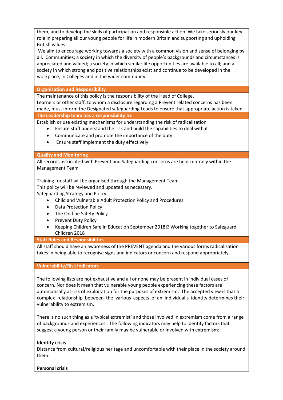them, and to develop the skills of participation and responsible action. We take seriously our key role in preparing all our young people for life in modern Britain and supporting and upholding British values.

We aim to encourage working towards a society with a common vision and sense of belonging by all. Communities; a society in which the diversity of people's backgrounds and circumstances is appreciated and valued; a society in which similar life opportunities are available to all; and a society in which strong and positive relationships exist and continue to be developed in the workplace, in Colleges and in the wider community.

**Organisation and Responsibility**

The maintenance of this policy is the responsibility of the Head of College. Learners or other staff, to whom a disclosure regarding a Prevent related concerns has been made, must inform the Designated safeguarding Leads to ensure that appropriate action is taken. **The Leadership team has a responsibility to:**

Establish or use existing mechanisms for understanding the risk of radicalisation

- Ensure staff understand the risk and build the capabilities to deal with it
- Communicate and promote the importance of the duty
- Ensure staff implement the duty effectively

# **Quality and Monitoring**

All records associated with Prevent and Safeguarding concerns are held centrally within the Management Team

Training for staff will be organised through the Management Team.

This policy will be reviewed and updated as necessary.

Safeguarding Strategy and Policy

- Child and Vulnerable Adult Protection Policy and Procedures
- Data Protection Policy
- The On-line Safety Policy
- Prevent Duty Policy
- Keeping Children Safe in Education September 2018 Working together to Safeguard Children 2018

# **Staff Roles and Responsibilities**

All staff should have an awareness of the PREVENT agenda and the various forms radicalisation takes in being able to recognise signs and indicators or concern and respond appropriately.

# **Vulnerability/Risk Indicators**

The following lists are not exhaustive and all or none may be present in individual cases of concern. Nor does it mean that vulnerable young people experiencing these factors are automatically at risk of exploitation for the purposes of extremism. The accepted view is that a complex relationship between the various aspects of an individual's identity determines their vulnerability to extremism.

There is no such thing as a 'typical extremist' and those involved in extremism come from a range of backgrounds and experiences. The following indicators may help to identify factors that suggest a young person or their family may be vulnerable or involved with extremism:

# **Identity crisis**

Distance from cultural/religious heritage and uncomfortable with their place in the society around them.

# **Personal crisis**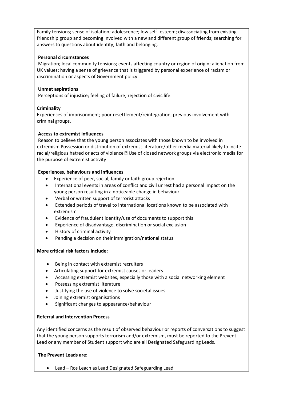Family tensions; sense of isolation; adolescence; low self- esteem; disassociating from existing friendship group and becoming involved with a new and different group of friends; searching for answers to questions about identity, faith and belonging.

# **Personal circumstances**

Migration; local community tensions; events affecting country or region of origin; alienation from UK values; having a sense of grievance that is triggered by personal experience of racism or discrimination or aspects of Government policy.

# **Unmet aspirations**

Perceptions of injustice; feeling of failure; rejection of civic life.

# **Criminality**

Experiences of imprisonment; poor resettlement/reintegration, previous involvement with criminal groups.

# **Access to extremist influences**

Reason to believe that the young person associates with those known to be involved in extremism Possession or distribution of extremist literature/other media material likely to incite racial/religious hatred or acts of violence **D** Use of closed network groups via electronic media for the purpose of extremist activity

# **Experiences, behaviours and influences**

- Experience of peer, social, family or faith group rejection
- International events in areas of conflict and civil unrest had a personal impact on the young person resulting in a noticeable change in behaviour
- Verbal or written support of terrorist attacks
- Extended periods of travel to international locations known to be associated with extremism
- Evidence of fraudulent identity/use of documents to support this
- Experience of disadvantage, discrimination or social exclusion
- History of criminal activity
- Pending a decision on their immigration/national status

# **More critical risk factors include:**

- Being in contact with extremist recruiters
- Articulating support for extremist causes or leaders
- Accessing extremist websites, especially those with a social networking element
- Possessing extremist literature
- Justifying the use of violence to solve societal issues
- Joining extremist organisations
- Significant changes to appearance/behaviour

# **Referral and Intervention Process**

Any identified concerns as the result of observed behaviour or reports of conversations to suggest that the young person supports terrorism and/or extremism, must be reported to the Prevent Lead or any member of Student support who are all Designated Safeguarding Leads.

# **The Prevent Leads are:**

• Lead – Ros Leach as Lead Designated Safeguarding Lead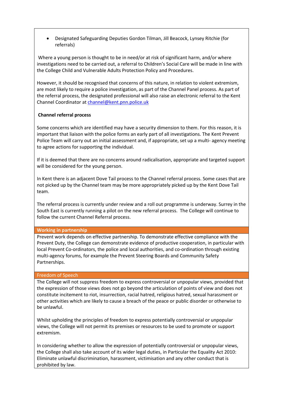• Designated Safeguarding Deputies Gordon Tilman, Jill Beacock, Lynsey Ritchie (for referrals)

Where a young person is thought to be in need/or at risk of significant harm, and/or where investigations need to be carried out, a referral to Children's Social Care will be made in line with the College Child and Vulnerable Adults Protection Policy and Procedures.

However, it should be recognised that concerns of this nature, in relation to violent extremism, are most likely to require a police investigation, as part of the Channel Panel process. As part of the referral process, the designated professional will also raise an electronic referral to the Kent Channel Coordinator a[t channel@kent.pnn.police.uk](mailto:channel@kent.pnn.police.uk)

# **Channel referral process**

Some concerns which are identified may have a security dimension to them. For this reason, it is important that liaison with the police forms an early part of all investigations. The Kent Prevent Police Team will carry out an initial assessment and, if appropriate, set up a multi- agency meeting to agree actions for supporting the individual.

If it is deemed that there are no concerns around radicalisation, appropriate and targeted support will be considered for the young person.

In Kent there is an adjacent Dove Tail process to the Channel referral process. Some cases that are not picked up by the Channel team may be more appropriately picked up by the Kent Dove Tail team.

The referral process is currently under review and a roll out programme is underway. Surrey in the South East is currently running a pilot on the new referral process. The College will continue to follow the current Channel Referral process.

# **Working in partnership**

Prevent work depends on effective partnership. To demonstrate effective compliance with the Prevent Duty, the College can demonstrate evidence of productive cooperation, in particular with local Prevent Co-ordinators, the police and local authorities, and co-ordination through existing multi-agency forums, for example the Prevent Steering Boards and Community Safety Partnerships.

# Freedom of Speech

The College will not suppress freedom to express controversial or unpopular views, provided that the expression of those views does not go beyond the articulation of points of view and does not constitute incitement to riot, insurrection, racial hatred, religious hatred, sexual harassment or other activities which are likely to cause a breach of the peace or public disorder or otherwise to be unlawful.

Whilst upholding the principles of freedom to express potentially controversial or unpopular views, the College will not permit its premises or resources to be used to promote or support extremism.

In considering whether to allow the expression of potentially controversial or unpopular views, the College shall also take account of its wider legal duties, in Particular the Equality Act 2010: Eliminate unlawful discrimination, harassment, victimisation and any other conduct that is prohibited by law.